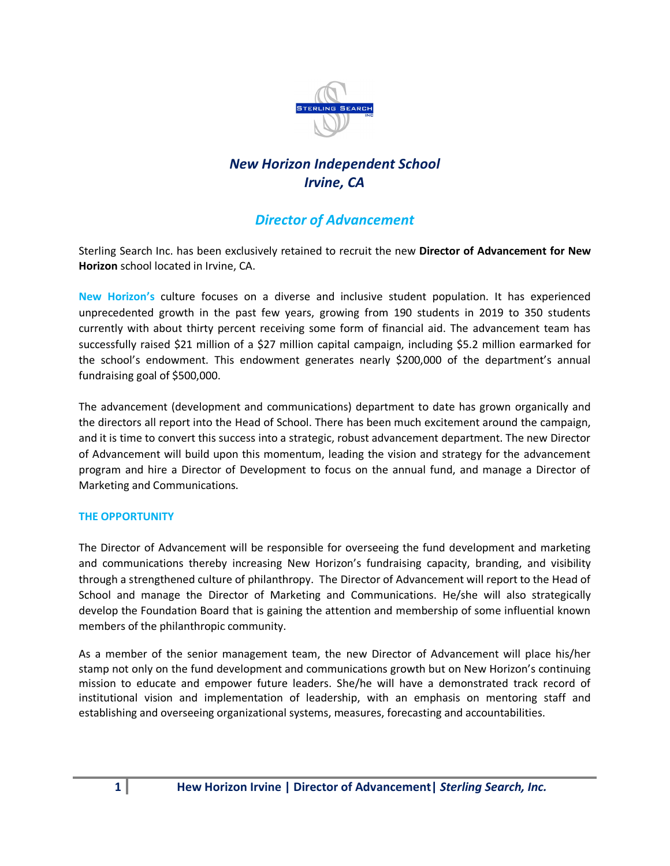

# *New Horizon Independent School Irvine, CA*

# *Director of Advancement*

Sterling Search Inc. has been exclusively retained to recruit the new **Director of Advancement for New Horizon** school located in Irvine, CA.

**New Horizon's** culture focuses on a diverse and inclusive student population. It has experienced unprecedented growth in the past few years, growing from 190 students in 2019 to 350 students currently with about thirty percent receiving some form of financial aid. The advancement team has successfully raised \$21 million of a \$27 million capital campaign, including \$5.2 million earmarked for the school's endowment. This endowment generates nearly \$200,000 of the department's annual fundraising goal of \$500,000.

The advancement (development and communications) department to date has grown organically and the directors all report into the Head of School. There has been much excitement around the campaign, and it is time to convert this success into a strategic, robust advancement department. The new Director of Advancement will build upon this momentum, leading the vision and strategy for the advancement program and hire a Director of Development to focus on the annual fund, and manage a Director of Marketing and Communications.

#### **THE OPPORTUNITY**

The Director of Advancement will be responsible for overseeing the fund development and marketing and communications thereby increasing New Horizon's fundraising capacity, branding, and visibility through a strengthened culture of philanthropy. The Director of Advancement will report to the Head of School and manage the Director of Marketing and Communications. He/she will also strategically develop the Foundation Board that is gaining the attention and membership of some influential known members of the philanthropic community.

As a member of the senior management team, the new Director of Advancement will place his/her stamp not only on the fund development and communications growth but on New Horizon's continuing mission to educate and empower future leaders. She/he will have a demonstrated track record of institutional vision and implementation of leadership, with an emphasis on mentoring staff and establishing and overseeing organizational systems, measures, forecasting and accountabilities.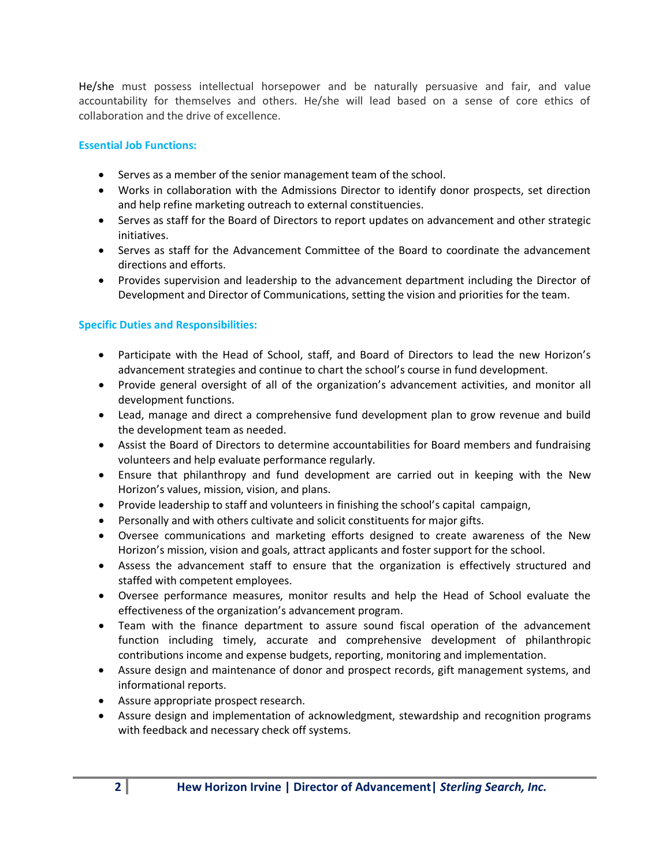He/she must possess intellectual horsepower and be naturally persuasive and fair, and value accountability for themselves and others. He/she will lead based on a sense of core ethics of collaboration and the drive of excellence.

#### **Essential Job Functions:**

- Serves as a member of the senior management team of the school.
- Works in collaboration with the Admissions Director to identify donor prospects, set direction and help refine marketing outreach to external constituencies.
- Serves as staff for the Board of Directors to report updates on advancement and other strategic initiatives.
- Serves as staff for the Advancement Committee of the Board to coordinate the advancement directions and efforts.
- Provides supervision and leadership to the advancement department including the Director of Development and Director of Communications, setting the vision and priorities for the team.

#### **Specific Duties and Responsibilities:**

- Participate with the Head of School, staff, and Board of Directors to lead the new Horizon's advancement strategies and continue to chart the school's course in fund development.
- Provide general oversight of all of the organization's advancement activities, and monitor all development functions.
- Lead, manage and direct a comprehensive fund development plan to grow revenue and build the development team as needed.
- Assist the Board of Directors to determine accountabilities for Board members and fundraising volunteers and help evaluate performance regularly.
- Ensure that philanthropy and fund development are carried out in keeping with the New Horizon's values, mission, vision, and plans.
- Provide leadership to staff and volunteers in finishing the school's capital campaign,
- Personally and with others cultivate and solicit constituents for major gifts.
- Oversee communications and marketing efforts designed to create awareness of the New Horizon's mission, vision and goals, attract applicants and foster support for the school.
- Assess the advancement staff to ensure that the organization is effectively structured and staffed with competent employees.
- Oversee performance measures, monitor results and help the Head of School evaluate the effectiveness of the organization's advancement program.
- Team with the finance department to assure sound fiscal operation of the advancement function including timely, accurate and comprehensive development of philanthropic contributions income and expense budgets, reporting, monitoring and implementation.
- Assure design and maintenance of donor and prospect records, gift management systems, and informational reports.
- Assure appropriate prospect research.
- Assure design and implementation of acknowledgment, stewardship and recognition programs with feedback and necessary check off systems.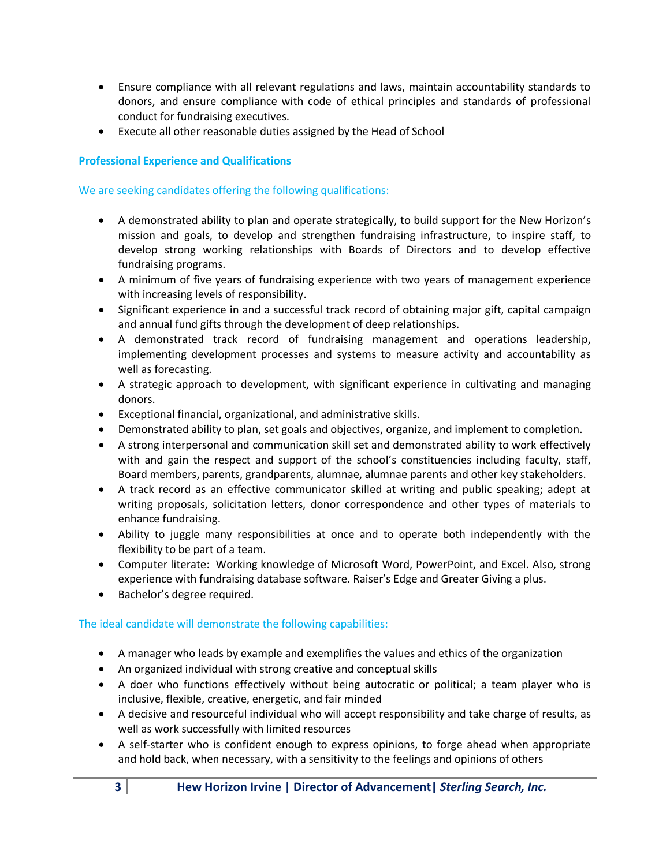- Ensure compliance with all relevant regulations and laws, maintain accountability standards to donors, and ensure compliance with code of ethical principles and standards of professional conduct for fundraising executives.
- Execute all other reasonable duties assigned by the Head of School

# **Professional Experience and Qualifications**

## We are seeking candidates offering the following qualifications:

- A demonstrated ability to plan and operate strategically, to build support for the New Horizon's mission and goals, to develop and strengthen fundraising infrastructure, to inspire staff, to develop strong working relationships with Boards of Directors and to develop effective fundraising programs.
- A minimum of five years of fundraising experience with two years of management experience with increasing levels of responsibility.
- Significant experience in and a successful track record of obtaining major gift, capital campaign and annual fund gifts through the development of deep relationships.
- A demonstrated track record of fundraising management and operations leadership, implementing development processes and systems to measure activity and accountability as well as forecasting.
- A strategic approach to development, with significant experience in cultivating and managing donors.
- Exceptional financial, organizational, and administrative skills.
- Demonstrated ability to plan, set goals and objectives, organize, and implement to completion.
- A strong interpersonal and communication skill set and demonstrated ability to work effectively with and gain the respect and support of the school's constituencies including faculty, staff, Board members, parents, grandparents, alumnae, alumnae parents and other key stakeholders.
- A track record as an effective communicator skilled at writing and public speaking; adept at writing proposals, solicitation letters, donor correspondence and other types of materials to enhance fundraising.
- Ability to juggle many responsibilities at once and to operate both independently with the flexibility to be part of a team.
- Computer literate: Working knowledge of Microsoft Word, PowerPoint, and Excel. Also, strong experience with fundraising database software. Raiser's Edge and Greater Giving a plus.
- Bachelor's degree required.

## The ideal candidate will demonstrate the following capabilities:

- A manager who leads by example and exemplifies the values and ethics of the organization
- An organized individual with strong creative and conceptual skills
- A doer who functions effectively without being autocratic or political; a team player who is inclusive, flexible, creative, energetic, and fair minded
- A decisive and resourceful individual who will accept responsibility and take charge of results, as well as work successfully with limited resources
- A self-starter who is confident enough to express opinions, to forge ahead when appropriate and hold back, when necessary, with a sensitivity to the feelings and opinions of others